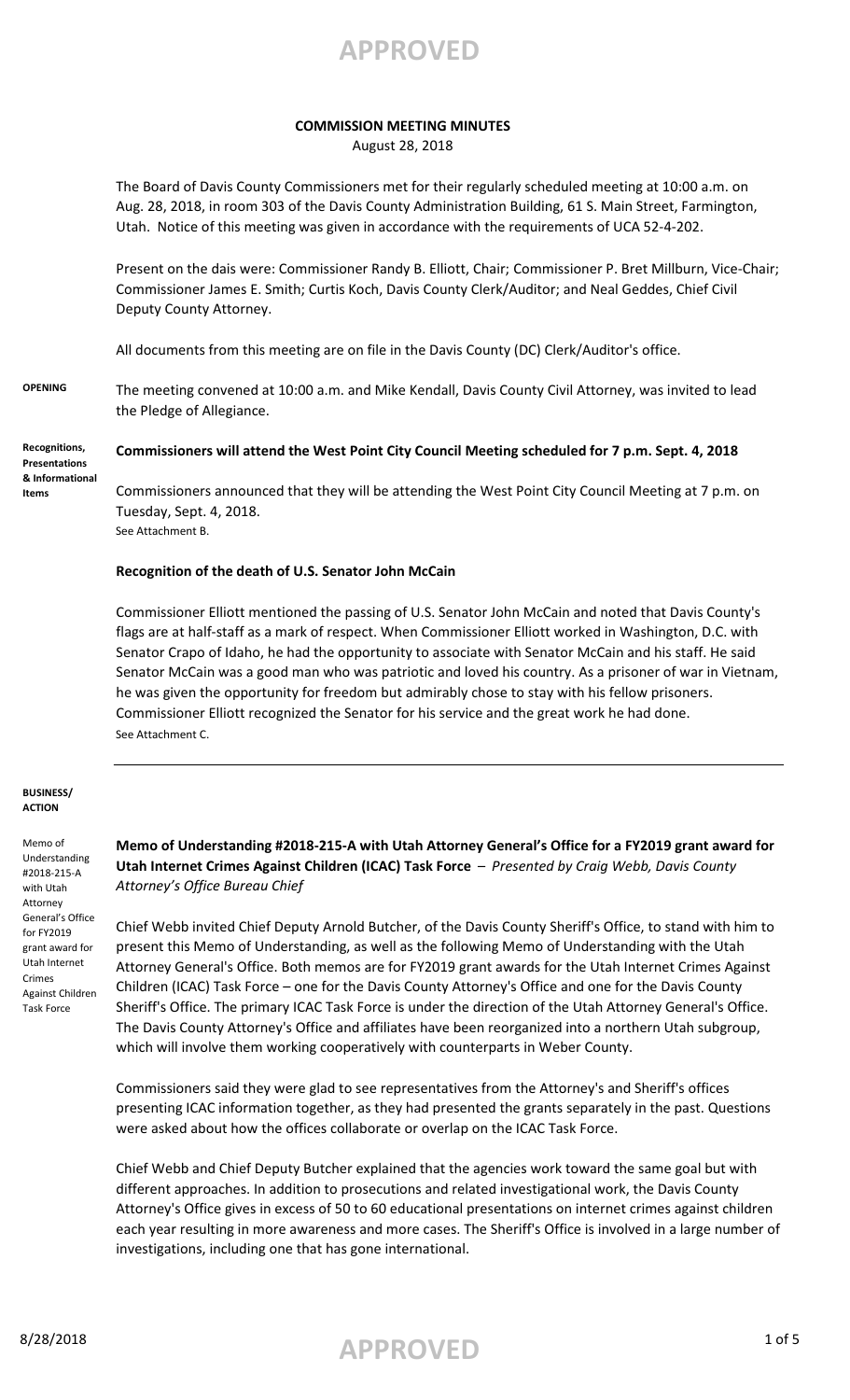### **COMMISSION MEETING MINUTES**

August 28, 2018

The Board of Davis County Commissioners met for their regularly scheduled meeting at 10:00 a.m. on Aug. 28, 2018, in room 303 of the Davis County Administration Building, 61 S. Main Street, Farmington, Utah. Notice of this meeting was given in accordance with the requirements of UCA 52-4-202.

Present on the dais were: Commissioner Randy B. Elliott, Chair; Commissioner P. Bret Millburn, Vice-Chair; Commissioner James E. Smith; Curtis Koch, Davis County Clerk/Auditor; and Neal Geddes, Chief Civil Deputy County Attorney.

All documents from this meeting are on file in the Davis County (DC) Clerk/Auditor's office.

**OPENING** The meeting convened at 10:00 a.m. and Mike Kendall, Davis County Civil Attorney, was invited to lead the Pledge of Allegiance.

**Commissioners will attend the West Point City Council Meeting scheduled for 7 p.m. Sept. 4, 2018 Recognitions, Presentations & Informational** 

Commissioners announced that they will be attending the West Point City Council Meeting at 7 p.m. on Tuesday, Sept. 4, 2018. See Attachment B.

### **Recognition of the death of U.S. Senator John McCain**

Commissioner Elliott mentioned the passing of U.S. Senator John McCain and noted that Davis County's flags are at half-staff as a mark of respect. When Commissioner Elliott worked in Washington, D.C. with Senator Crapo of Idaho, he had the opportunity to associate with Senator McCain and his staff. He said Senator McCain was a good man who was patriotic and loved his country. As a prisoner of war in Vietnam, he was given the opportunity for freedom but admirably chose to stay with his fellow prisoners. Commissioner Elliott recognized the Senator for his service and the great work he had done. See Attachment C.

#### **BUSINESS/ ACTION**

**Items**

Memo of Understanding #2018-215-A with Utah Attorney General's Office for FY2019 grant award for Utah Internet Crimes Against Children Task Force

**Memo of Understanding #2018-215-A with Utah Attorney General's Office for a FY2019 grant award for Utah Internet Crimes Against Children (ICAC) Task Force** – *Presented by Craig Webb, Davis County Attorney's Office Bureau Chief*

Chief Webb invited Chief Deputy Arnold Butcher, of the Davis County Sheriff's Office, to stand with him to present this Memo of Understanding, as well as the following Memo of Understanding with the Utah Attorney General's Office. Both memos are for FY2019 grant awards for the Utah Internet Crimes Against Children (ICAC) Task Force – one for the Davis County Attorney's Office and one for the Davis County Sheriff's Office. The primary ICAC Task Force is under the direction of the Utah Attorney General's Office. The Davis County Attorney's Office and affiliates have been reorganized into a northern Utah subgroup, which will involve them working cooperatively with counterparts in Weber County.

Commissioners said they were glad to see representatives from the Attorney's and Sheriff's offices presenting ICAC information together, as they had presented the grants separately in the past. Questions were asked about how the offices collaborate or overlap on the ICAC Task Force.

Chief Webb and Chief Deputy Butcher explained that the agencies work toward the same goal but with different approaches. In addition to prosecutions and related investigational work, the Davis County Attorney's Office gives in excess of 50 to 60 educational presentations on internet crimes against children each year resulting in more awareness and more cases. The Sheriff's Office is involved in a large number of investigations, including one that has gone international.

# 8/28/2018 1 of 5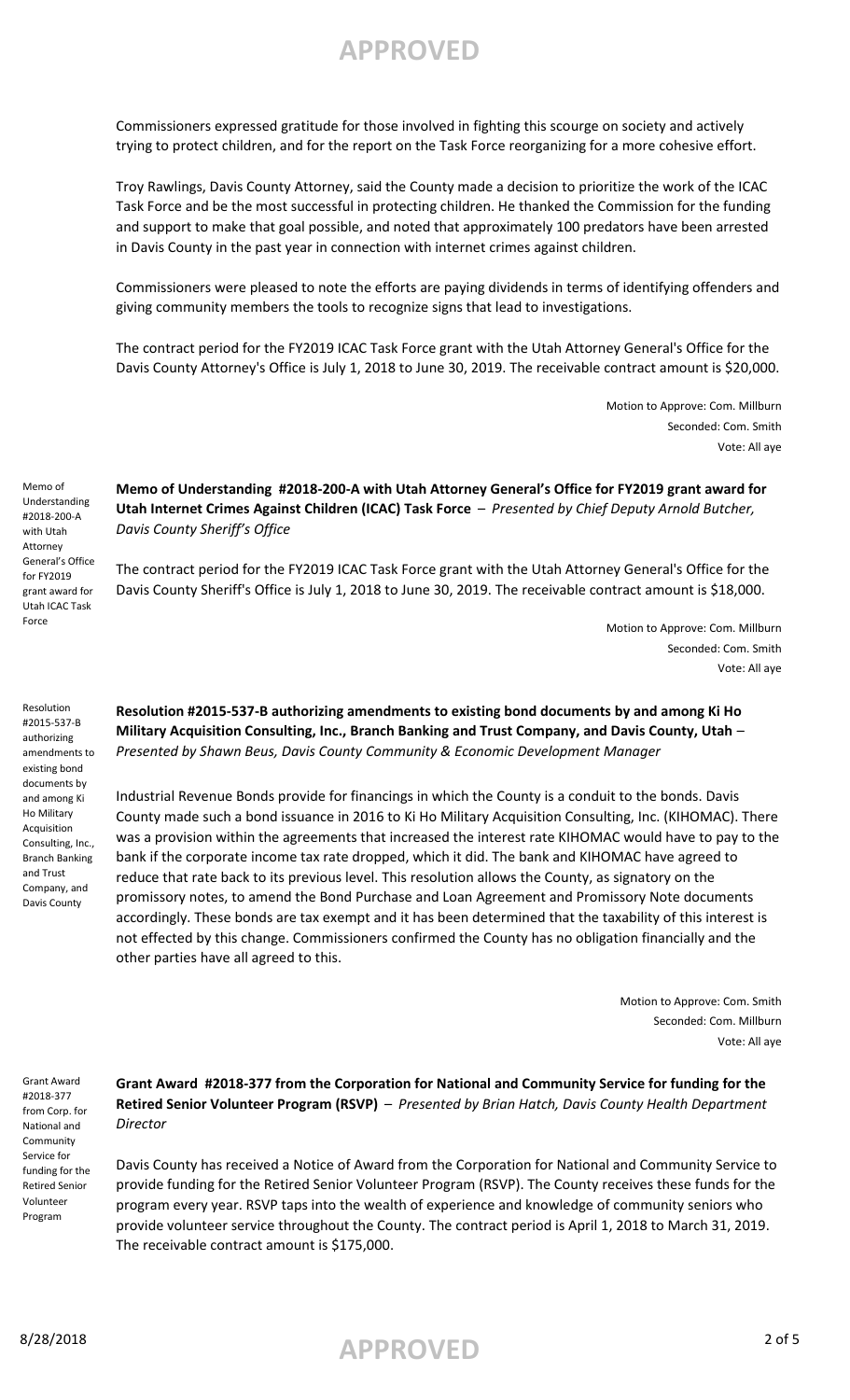Commissioners expressed gratitude for those involved in fighting this scourge on society and actively trying to protect children, and for the report on the Task Force reorganizing for a more cohesive effort.

Troy Rawlings, Davis County Attorney, said the County made a decision to prioritize the work of the ICAC Task Force and be the most successful in protecting children. He thanked the Commission for the funding and support to make that goal possible, and noted that approximately 100 predators have been arrested in Davis County in the past year in connection with internet crimes against children.

Commissioners were pleased to note the efforts are paying dividends in terms of identifying offenders and giving community members the tools to recognize signs that lead to investigations.

The contract period for the FY2019 ICAC Task Force grant with the Utah Attorney General's Office for the Davis County Attorney's Office is July 1, 2018 to June 30, 2019. The receivable contract amount is \$20,000.

> Motion to Approve: Com. Millburn Seconded: Com. Smith Vote: All aye

Memo of Understanding #2018-200-A with Utah Attorney General's Office for FY2019 grant award for Utah ICAC Task Force

**Memo of Understanding #2018-200-A with Utah Attorney General's Office for FY2019 grant award for Utah Internet Crimes Against Children (ICAC) Task Force** – *Presented by Chief Deputy Arnold Butcher, Davis County Sheriff's Office*

The contract period for the FY2019 ICAC Task Force grant with the Utah Attorney General's Office for the Davis County Sheriff's Office is July 1, 2018 to June 30, 2019. The receivable contract amount is \$18,000.

> Motion to Approve: Com. Millburn Seconded: Com. Smith Vote: All aye

Resolution #2015-537-B authorizing amendments to existing bond documents by and among Ki Ho Military Acquisition Consulting, Inc., Branch Banking

**Resolution #2015-537-B authorizing amendments to existing bond documents by and among Ki Ho Military Acquisition Consulting, Inc., Branch Banking and Trust Company, and Davis County, Utah** *– Presented by Shawn Beus, Davis County Community & Economic Development Manager*

Industrial Revenue Bonds provide for financings in which the County is a conduit to the bonds. Davis County made such a bond issuance in 2016 to Ki Ho Military Acquisition Consulting, Inc. (KIHOMAC). There was a provision within the agreements that increased the interest rate KIHOMAC would have to pay to the bank if the corporate income tax rate dropped, which it did. The bank and KIHOMAC have agreed to reduce that rate back to its previous level. This resolution allows the County, as signatory on the promissory notes, to amend the Bond Purchase and Loan Agreement and Promissory Note documents accordingly. These bonds are tax exempt and it has been determined that the taxability of this interest is not effected by this change. Commissioners confirmed the County has no obligation financially and the other parties have all agreed to this.

> Motion to Approve: Com. Smith Seconded: Com. Millburn Vote: All aye

Grant Award #2018-377 from Corp. for National and Community Service for funding for the Retired Senior Volunteer Program

and Trust Company, and Davis County

> **Grant Award #2018-377 from the Corporation for National and Community Service for funding for the Retired Senior Volunteer Program (RSVP)** – *Presented by Brian Hatch, Davis County Health Department Director*

Davis County has received a Notice of Award from the Corporation for National and Community Service to provide funding for the Retired Senior Volunteer Program (RSVP). The County receives these funds for the program every year. RSVP taps into the wealth of experience and knowledge of community seniors who provide volunteer service throughout the County. The contract period is April 1, 2018 to March 31, 2019. The receivable contract amount is \$175,000.

8/28/2018 **APPROVED** 2 of 5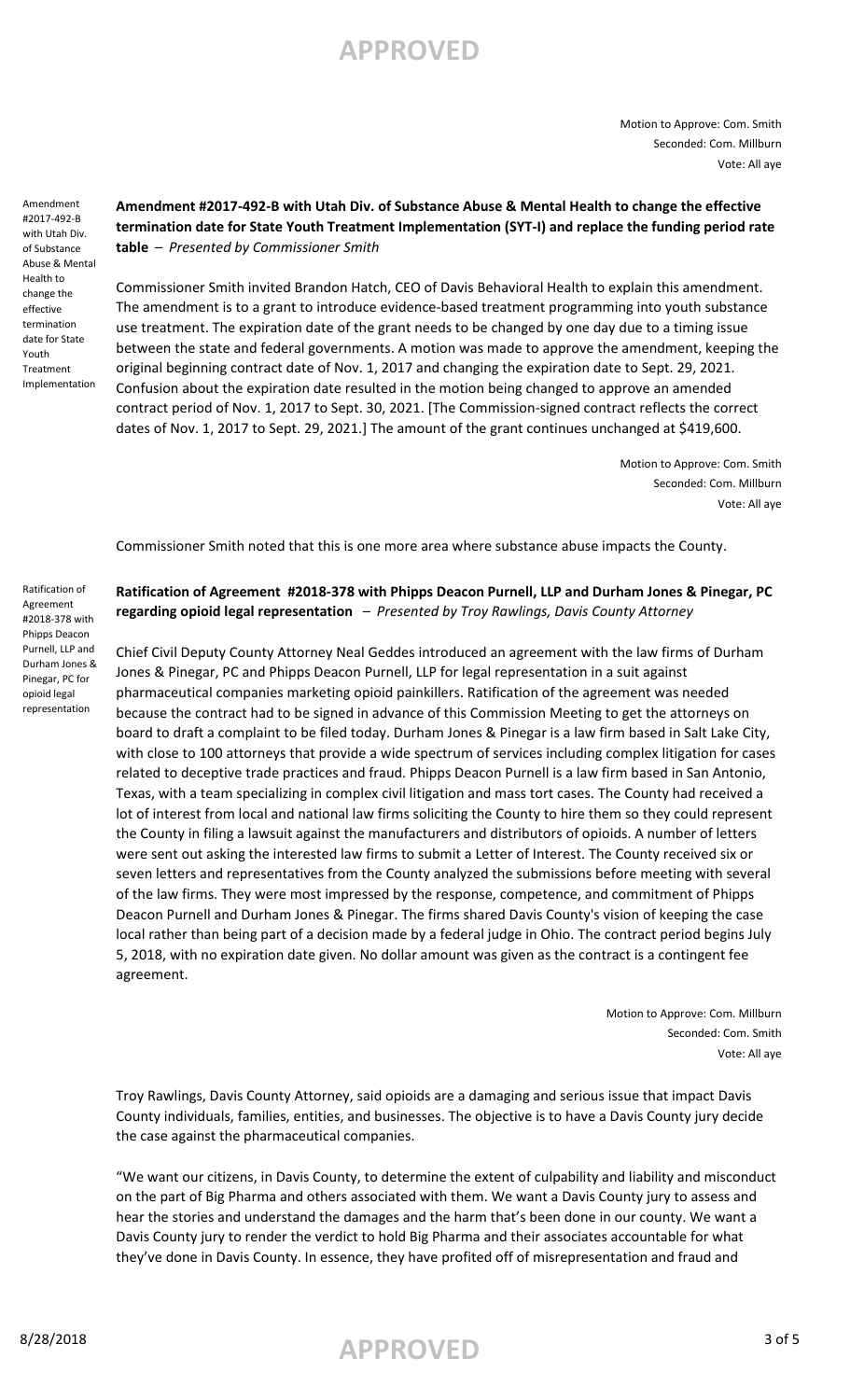Motion to Approve: Com. Smith Seconded: Com. Millburn Vote: All aye

Amendment #2017-492-B with Utah Div. of Substance Abuse & Mental Health to change the effective termination date for State Youth Treatment Implementation

### **Amendment #2017-492-B with Utah Div. of Substance Abuse & Mental Health to change the effective termination date for State Youth Treatment Implementation (SYT-I) and replace the funding period rate table** – *Presented by Commissioner Smith*

Commissioner Smith invited Brandon Hatch, CEO of Davis Behavioral Health to explain this amendment. The amendment is to a grant to introduce evidence-based treatment programming into youth substance use treatment. The expiration date of the grant needs to be changed by one day due to a timing issue between the state and federal governments. A motion was made to approve the amendment, keeping the original beginning contract date of Nov. 1, 2017 and changing the expiration date to Sept. 29, 2021. Confusion about the expiration date resulted in the motion being changed to approve an amended contract period of Nov. 1, 2017 to Sept. 30, 2021. [The Commission-signed contract reflects the correct dates of Nov. 1, 2017 to Sept. 29, 2021.] The amount of the grant continues unchanged at \$419,600.

> Motion to Approve: Com. Smith Seconded: Com. Millburn Vote: All aye

Commissioner Smith noted that this is one more area where substance abuse impacts the County.

**Ratification of Agreement #2018-378 with Phipps Deacon Purnell, LLP and Durham Jones & Pinegar, PC regarding opioid legal representation** – *Presented by Troy Rawlings, Davis County Attorney*

Chief Civil Deputy County Attorney Neal Geddes introduced an agreement with the law firms of Durham Jones & Pinegar, PC and Phipps Deacon Purnell, LLP for legal representation in a suit against pharmaceutical companies marketing opioid painkillers. Ratification of the agreement was needed because the contract had to be signed in advance of this Commission Meeting to get the attorneys on board to draft a complaint to be filed today. Durham Jones & Pinegar is a law firm based in Salt Lake City, with close to 100 attorneys that provide a wide spectrum of services including complex litigation for cases related to deceptive trade practices and fraud. Phipps Deacon Purnell is a law firm based in San Antonio, Texas, with a team specializing in complex civil litigation and mass tort cases. The County had received a lot of interest from local and national law firms soliciting the County to hire them so they could represent the County in filing a lawsuit against the manufacturers and distributors of opioids. A number of letters were sent out asking the interested law firms to submit a Letter of Interest. The County received six or seven letters and representatives from the County analyzed the submissions before meeting with several of the law firms. They were most impressed by the response, competence, and commitment of Phipps Deacon Purnell and Durham Jones & Pinegar. The firms shared Davis County's vision of keeping the case local rather than being part of a decision made by a federal judge in Ohio. The contract period begins July 5, 2018, with no expiration date given. No dollar amount was given as the contract is a contingent fee agreement.

> Motion to Approve: Com. Millburn Seconded: Com. Smith Vote: All aye

Troy Rawlings, Davis County Attorney, said opioids are a damaging and serious issue that impact Davis County individuals, families, entities, and businesses. The objective is to have a Davis County jury decide the case against the pharmaceutical companies.

"We want our citizens, in Davis County, to determine the extent of culpability and liability and misconduct on the part of Big Pharma and others associated with them. We want a Davis County jury to assess and hear the stories and understand the damages and the harm that's been done in our county. We want a Davis County jury to render the verdict to hold Big Pharma and their associates accountable for what they've done in Davis County. In essence, they have profited off of misrepresentation and fraud and

Ratification of Agreement #2018-378 with Phipps Deacon Purnell, LLP and Durham Jones & Pinegar, PC for opioid legal representation

# 8/28/2018 **APPROVED** 3 of 5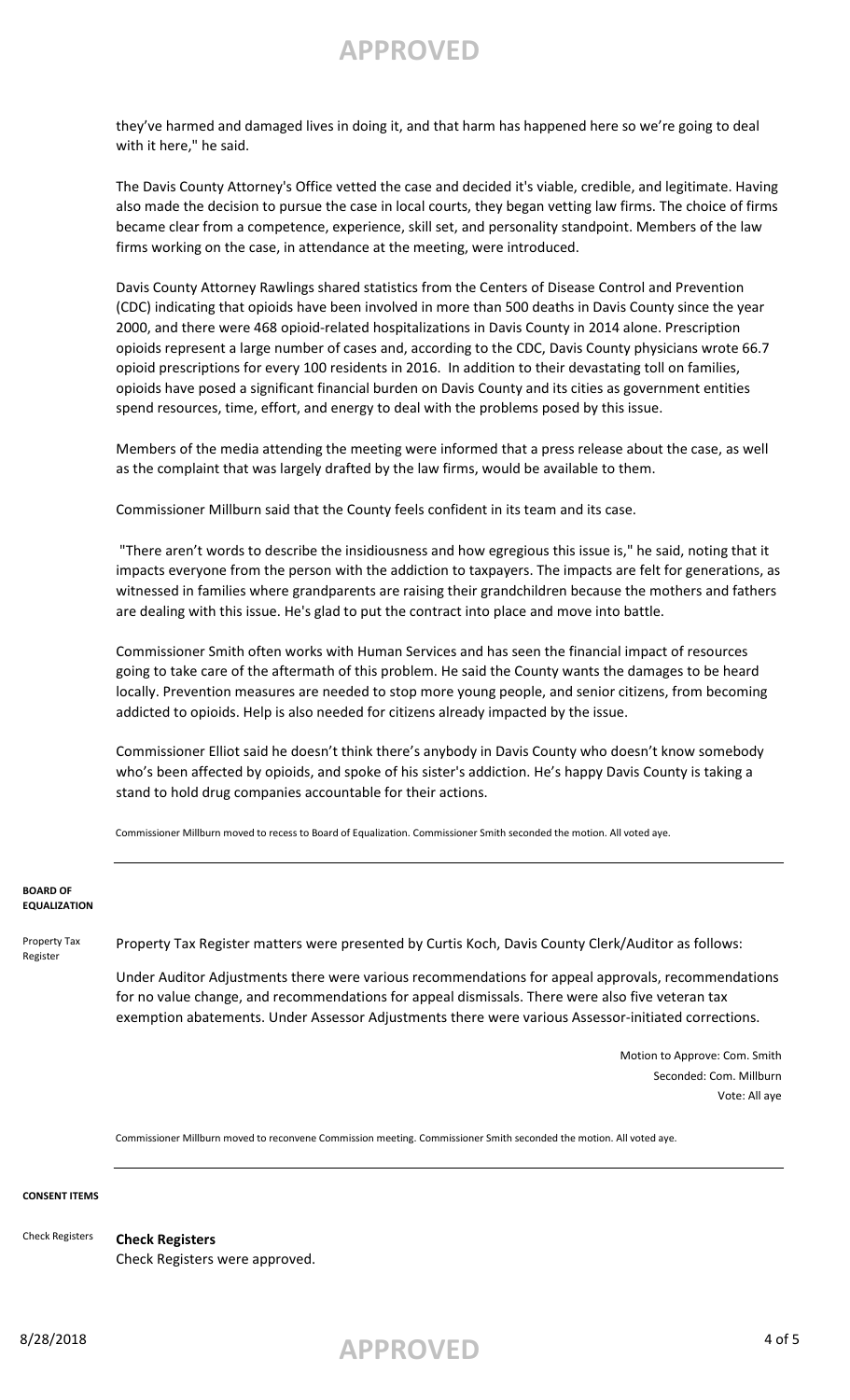they've harmed and damaged lives in doing it, and that harm has happened here so we're going to deal with it here," he said.

The Davis County Attorney's Office vetted the case and decided it's viable, credible, and legitimate. Having also made the decision to pursue the case in local courts, they began vetting law firms. The choice of firms became clear from a competence, experience, skill set, and personality standpoint. Members of the law firms working on the case, in attendance at the meeting, were introduced.

Davis County Attorney Rawlings shared statistics from the Centers of Disease Control and Prevention (CDC) indicating that opioids have been involved in more than 500 deaths in Davis County since the year 2000, and there were 468 opioid-related hospitalizations in Davis County in 2014 alone. Prescription opioids represent a large number of cases and, according to the CDC, Davis County physicians wrote 66.7 opioid prescriptions for every 100 residents in 2016. In addition to their devastating toll on families, opioids have posed a significant financial burden on Davis County and its cities as government entities spend resources, time, effort, and energy to deal with the problems posed by this issue.

Members of the media attending the meeting were informed that a press release about the case, as well as the complaint that was largely drafted by the law firms, would be available to them.

Commissioner Millburn said that the County feels confident in its team and its case.

 "There aren't words to describe the insidiousness and how egregious this issue is," he said, noting that it impacts everyone from the person with the addiction to taxpayers. The impacts are felt for generations, as witnessed in families where grandparents are raising their grandchildren because the mothers and fathers are dealing with this issue. He's glad to put the contract into place and move into battle.

Commissioner Smith often works with Human Services and has seen the financial impact of resources going to take care of the aftermath of this problem. He said the County wants the damages to be heard locally. Prevention measures are needed to stop more young people, and senior citizens, from becoming addicted to opioids. Help is also needed for citizens already impacted by the issue.

Commissioner Elliot said he doesn't think there's anybody in Davis County who doesn't know somebody who's been affected by opioids, and spoke of his sister's addiction. He's happy Davis County is taking a stand to hold drug companies accountable for their actions.

Commissioner Millburn moved to recess to Board of Equalization. Commissioner Smith seconded the motion. All voted aye.

### **BOARD OF EQUALIZATION**

Property Tax Register

Property Tax Register matters were presented by Curtis Koch, Davis County Clerk/Auditor as follows:

Under Auditor Adjustments there were various recommendations for appeal approvals, recommendations for no value change, and recommendations for appeal dismissals. There were also five veteran tax exemption abatements. Under Assessor Adjustments there were various Assessor-initiated corrections.

> Motion to Approve: Com. Smith Seconded: Com. Millburn Vote: All aye

Commissioner Millburn moved to reconvene Commission meeting. Commissioner Smith seconded the motion. All voted aye.

#### **CONSENT ITEMS**

**Check Registers** Check Registers were approved. Check Registers